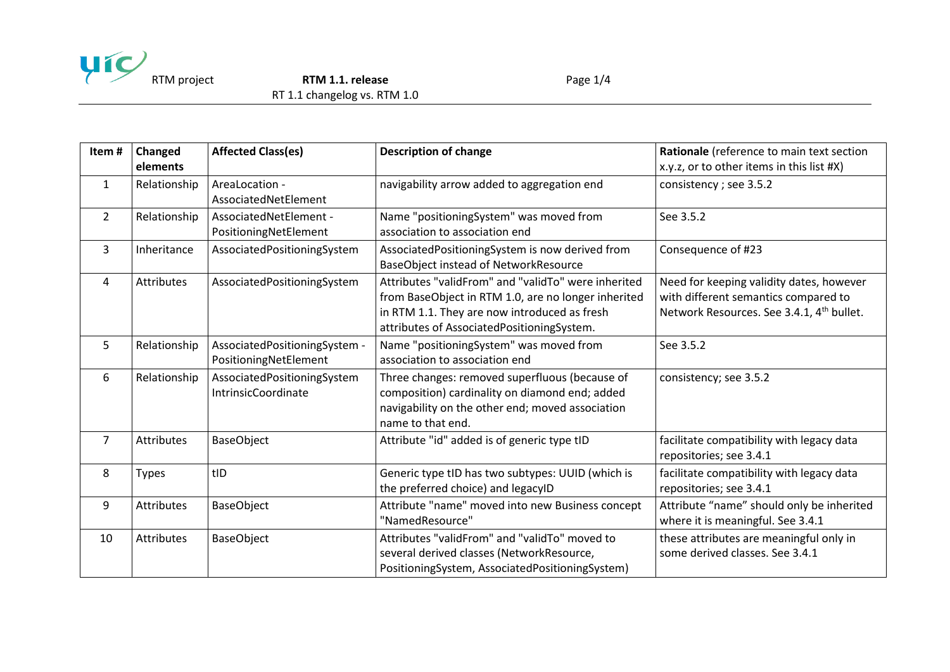

RTM project **RTM 1.1. release** Page 1/4

RT 1.1 changelog vs. RTM 1.0

| Item#          | Changed<br>elements | <b>Affected Class(es)</b>                              | <b>Description of change</b>                                                                                                                                                                             | Rationale (reference to main text section<br>x.y.z, or to other items in this list #X)                                                    |
|----------------|---------------------|--------------------------------------------------------|----------------------------------------------------------------------------------------------------------------------------------------------------------------------------------------------------------|-------------------------------------------------------------------------------------------------------------------------------------------|
| $\mathbf{1}$   | Relationship        | AreaLocation -<br>AssociatedNetElement                 | navigability arrow added to aggregation end                                                                                                                                                              | consistency; see 3.5.2                                                                                                                    |
| $\overline{2}$ | Relationship        | AssociatedNetElement -<br>PositioningNetElement        | Name "positioningSystem" was moved from<br>association to association end                                                                                                                                | See 3.5.2                                                                                                                                 |
| $\overline{3}$ | Inheritance         | AssociatedPositioningSystem                            | AssociatedPositioningSystem is now derived from<br>BaseObject instead of NetworkResource                                                                                                                 | Consequence of #23                                                                                                                        |
| 4              | <b>Attributes</b>   | AssociatedPositioningSystem                            | Attributes "validFrom" and "validTo" were inherited<br>from BaseObject in RTM 1.0, are no longer inherited<br>in RTM 1.1. They are now introduced as fresh<br>attributes of AssociatedPositioningSystem. | Need for keeping validity dates, however<br>with different semantics compared to<br>Network Resources. See 3.4.1, 4 <sup>th</sup> bullet. |
| 5              | Relationship        | AssociatedPositioningSystem -<br>PositioningNetElement | Name "positioningSystem" was moved from<br>association to association end                                                                                                                                | See 3.5.2                                                                                                                                 |
| 6              | Relationship        | AssociatedPositioningSystem<br>IntrinsicCoordinate     | Three changes: removed superfluous (because of<br>composition) cardinality on diamond end; added<br>navigability on the other end; moved association<br>name to that end.                                | consistency; see 3.5.2                                                                                                                    |
| $\overline{7}$ | <b>Attributes</b>   | <b>BaseObject</b>                                      | Attribute "id" added is of generic type tID                                                                                                                                                              | facilitate compatibility with legacy data<br>repositories; see 3.4.1                                                                      |
| 8              | <b>Types</b>        | tID                                                    | Generic type tID has two subtypes: UUID (which is<br>the preferred choice) and legacyID                                                                                                                  | facilitate compatibility with legacy data<br>repositories; see 3.4.1                                                                      |
| 9              | <b>Attributes</b>   | <b>BaseObject</b>                                      | Attribute "name" moved into new Business concept<br>"NamedResource"                                                                                                                                      | Attribute "name" should only be inherited<br>where it is meaningful. See 3.4.1                                                            |
| 10             | <b>Attributes</b>   | <b>BaseObject</b>                                      | Attributes "validFrom" and "validTo" moved to<br>several derived classes (NetworkResource,<br>PositioningSystem, AssociatedPositioningSystem)                                                            | these attributes are meaningful only in<br>some derived classes. See 3.4.1                                                                |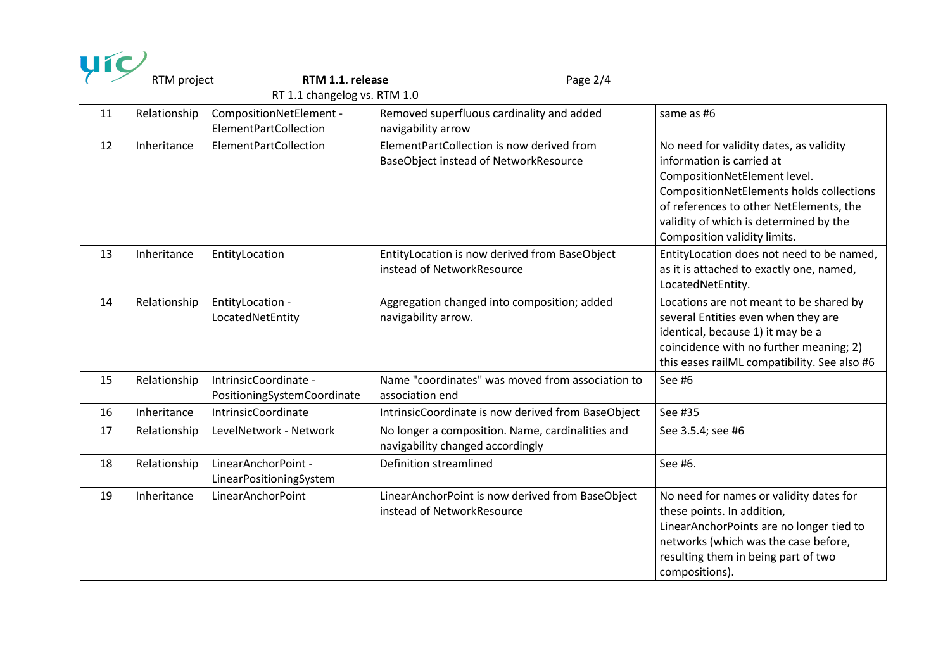|                              | RTM project  | RTM 1.1. release                                     | Page 2/4                                                                             |                                                                                                                                                                                                                                                                       |  |
|------------------------------|--------------|------------------------------------------------------|--------------------------------------------------------------------------------------|-----------------------------------------------------------------------------------------------------------------------------------------------------------------------------------------------------------------------------------------------------------------------|--|
| RT 1.1 changelog vs. RTM 1.0 |              |                                                      |                                                                                      |                                                                                                                                                                                                                                                                       |  |
| 11                           | Relationship | CompositionNetElement -<br>ElementPartCollection     | Removed superfluous cardinality and added<br>navigability arrow                      | same as #6                                                                                                                                                                                                                                                            |  |
| 12                           | Inheritance  | ElementPartCollection                                | ElementPartCollection is now derived from<br>BaseObject instead of NetworkResource   | No need for validity dates, as validity<br>information is carried at<br>CompositionNetElement level.<br>CompositionNetElements holds collections<br>of references to other NetElements, the<br>validity of which is determined by the<br>Composition validity limits. |  |
| 13                           | Inheritance  | EntityLocation                                       | EntityLocation is now derived from BaseObject<br>instead of NetworkResource          | EntityLocation does not need to be named,<br>as it is attached to exactly one, named,<br>LocatedNetEntity.                                                                                                                                                            |  |
| 14                           | Relationship | EntityLocation -<br>LocatedNetEntity                 | Aggregation changed into composition; added<br>navigability arrow.                   | Locations are not meant to be shared by<br>several Entities even when they are<br>identical, because 1) it may be a<br>coincidence with no further meaning; 2)<br>this eases railML compatibility. See also #6                                                        |  |
| 15                           | Relationship | IntrinsicCoordinate -<br>PositioningSystemCoordinate | Name "coordinates" was moved from association to<br>association end                  | See #6                                                                                                                                                                                                                                                                |  |
| 16                           | Inheritance  | IntrinsicCoordinate                                  | IntrinsicCoordinate is now derived from BaseObject                                   | See #35                                                                                                                                                                                                                                                               |  |
| 17                           | Relationship | LevelNetwork - Network                               | No longer a composition. Name, cardinalities and<br>navigability changed accordingly | See 3.5.4; see #6                                                                                                                                                                                                                                                     |  |
| 18                           | Relationship | LinearAnchorPoint -<br>LinearPositioningSystem       | Definition streamlined                                                               | See #6.                                                                                                                                                                                                                                                               |  |
| 19                           | Inheritance  | LinearAnchorPoint                                    | LinearAnchorPoint is now derived from BaseObject<br>instead of NetworkResource       | No need for names or validity dates for<br>these points. In addition,<br>LinearAnchorPoints are no longer tied to<br>networks (which was the case before,<br>resulting them in being part of two<br>compositions).                                                    |  |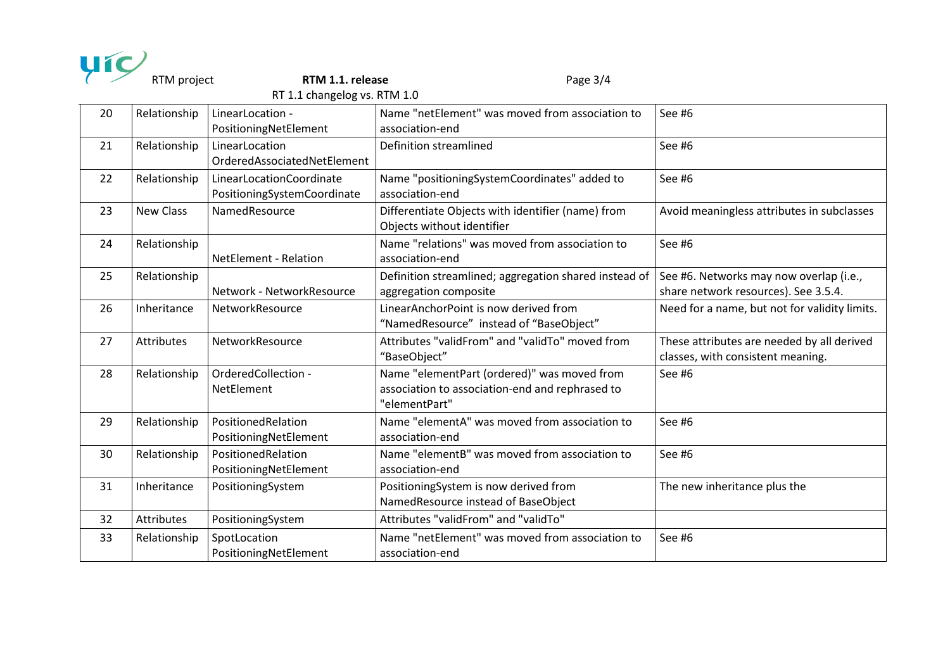| RTM project<br>RTM 1.1. release<br>Page $3/4$<br>RT 1.1 changelog vs. RTM 1.0 |                   |                                                         |                                                                                                                 |                                                                                 |  |
|-------------------------------------------------------------------------------|-------------------|---------------------------------------------------------|-----------------------------------------------------------------------------------------------------------------|---------------------------------------------------------------------------------|--|
| 20                                                                            | Relationship      | LinearLocation -<br>PositioningNetElement               | Name "netElement" was moved from association to<br>association-end                                              | See #6                                                                          |  |
| 21                                                                            | Relationship      | LinearLocation<br>OrderedAssociatedNetElement           | Definition streamlined                                                                                          | See #6                                                                          |  |
| 22                                                                            | Relationship      | LinearLocationCoordinate<br>PositioningSystemCoordinate | Name "positioningSystemCoordinates" added to<br>association-end                                                 | See #6                                                                          |  |
| 23                                                                            | <b>New Class</b>  | NamedResource                                           | Differentiate Objects with identifier (name) from<br>Objects without identifier                                 | Avoid meaningless attributes in subclasses                                      |  |
| 24                                                                            | Relationship      | <b>NetElement - Relation</b>                            | Name "relations" was moved from association to<br>association-end                                               | See #6                                                                          |  |
| 25                                                                            | Relationship      | Network - NetworkResource                               | Definition streamlined; aggregation shared instead of<br>aggregation composite                                  | See #6. Networks may now overlap (i.e.,<br>share network resources). See 3.5.4. |  |
| 26                                                                            | Inheritance       | NetworkResource                                         | LinearAnchorPoint is now derived from<br>"NamedResource" instead of "BaseObject"                                | Need for a name, but not for validity limits.                                   |  |
| 27                                                                            | <b>Attributes</b> | NetworkResource                                         | Attributes "validFrom" and "validTo" moved from<br>"BaseObject"                                                 | These attributes are needed by all derived<br>classes, with consistent meaning. |  |
| 28                                                                            | Relationship      | OrderedCollection -<br>NetElement                       | Name "elementPart (ordered)" was moved from<br>association to association-end and rephrased to<br>"elementPart" | See #6                                                                          |  |
| 29                                                                            | Relationship      | PositionedRelation<br>PositioningNetElement             | Name "elementA" was moved from association to<br>association-end                                                | See #6                                                                          |  |
| 30                                                                            | Relationship      | PositionedRelation<br>PositioningNetElement             | Name "elementB" was moved from association to<br>association-end                                                | See #6                                                                          |  |
| 31                                                                            | Inheritance       | PositioningSystem                                       | PositioningSystem is now derived from<br>NamedResource instead of BaseObject                                    | The new inheritance plus the                                                    |  |
| 32                                                                            | <b>Attributes</b> | PositioningSystem                                       | Attributes "validFrom" and "validTo"                                                                            |                                                                                 |  |
| 33                                                                            | Relationship      | SpotLocation<br>PositioningNetElement                   | Name "netElement" was moved from association to<br>association-end                                              | See #6                                                                          |  |